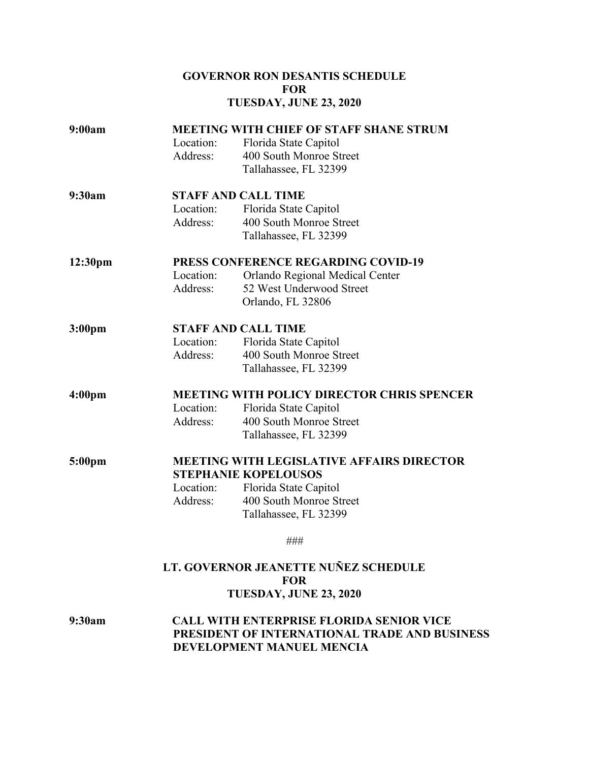## **GOVERNOR RON DESANTIS SCHEDULE FOR TUESDAY, JUNE 23, 2020**

| 9:00am             | <b>MEETING WITH CHIEF OF STAFF SHANE STRUM</b>    |                                 |  |
|--------------------|---------------------------------------------------|---------------------------------|--|
|                    | Location:                                         | Florida State Capitol           |  |
|                    | Address:                                          | 400 South Monroe Street         |  |
|                    |                                                   | Tallahassee, FL 32399           |  |
| 9:30am             | <b>STAFF AND CALL TIME</b>                        |                                 |  |
|                    | Location:                                         | Florida State Capitol           |  |
|                    | Address:                                          | 400 South Monroe Street         |  |
|                    |                                                   | Tallahassee, FL 32399           |  |
| 12:30pm            | <b>PRESS CONFERENCE REGARDING COVID-19</b>        |                                 |  |
|                    | Location:                                         | Orlando Regional Medical Center |  |
|                    | Address:                                          | 52 West Underwood Street        |  |
|                    |                                                   | Orlando, FL 32806               |  |
| 3:00 <sub>pm</sub> | <b>STAFF AND CALL TIME</b>                        |                                 |  |
|                    | Location:                                         | Florida State Capitol           |  |
|                    | Address:                                          | 400 South Monroe Street         |  |
|                    |                                                   | Tallahassee, FL 32399           |  |
| 4:00 <sub>pm</sub> | <b>MEETING WITH POLICY DIRECTOR CHRIS SPENCER</b> |                                 |  |
|                    | Location:                                         | Florida State Capitol           |  |
|                    | Address:                                          | 400 South Monroe Street         |  |
|                    |                                                   | Tallahassee, FL 32399           |  |
| 5:00 <sub>pm</sub> | <b>MEETING WITH LEGISLATIVE AFFAIRS DIRECTOR</b>  |                                 |  |
|                    | <b>STEPHANIE KOPELOUSOS</b>                       |                                 |  |
|                    | Location:                                         | Florida State Capitol           |  |
|                    | Address:                                          | 400 South Monroe Street         |  |
|                    |                                                   | Tallahassee, FL 32399           |  |
|                    |                                                   | ###                             |  |

## **LT. GOVERNOR JEANETTE NUÑEZ SCHEDULE FOR TUESDAY, JUNE 23, 2020**

**9:30am CALL WITH ENTERPRISE FLORIDA SENIOR VICE PRESIDENT OF INTERNATIONAL TRADE AND BUSINESS DEVELOPMENT MANUEL MENCIA**